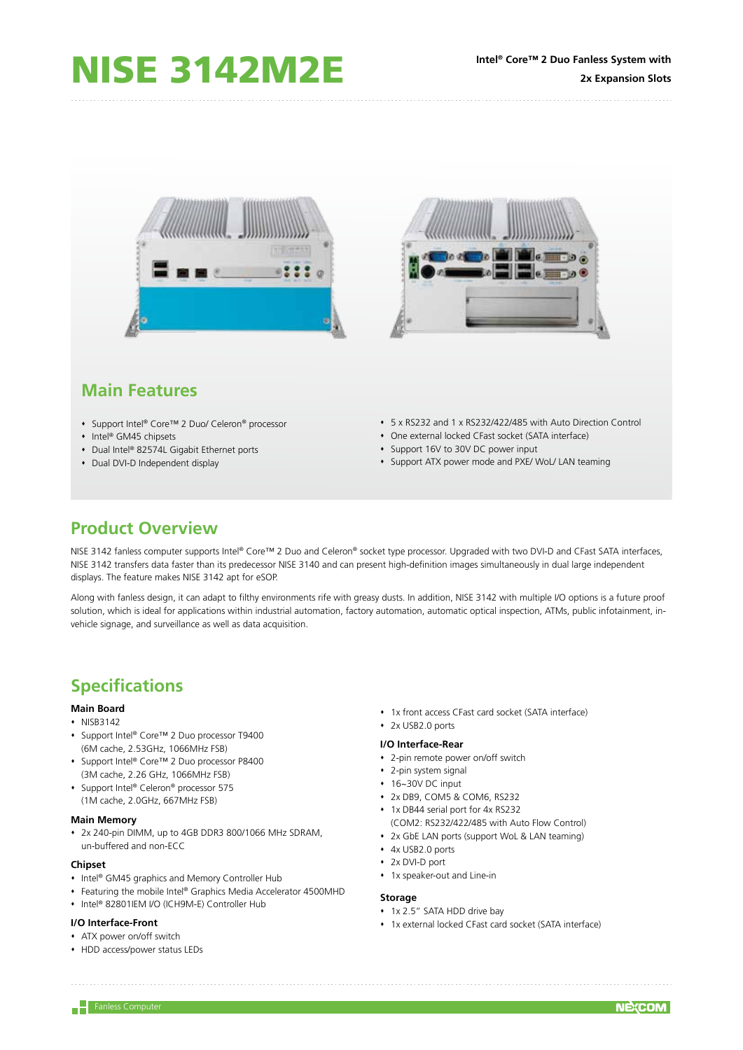

# **Main Features**

- Support Intel® Core™ 2 Duo/ Celeron® processor
- Intel® GM45 chipsets
- ◆ Dual Intel® 82574L Gigabit Ethernet ports
- Dual DVI-D Independent display
- 5 x RS232 and 1 x RS232/422/485 with Auto Direction Control
- One external locked CFast socket (SATA interface)
- Support 16V to 30V DC power input
- Support ATX power mode and PXE/ WoL/ LAN teaming

## **Product Overview**

NISE 3142 fanless computer supports Intel® Core™ 2 Duo and Celeron® socket type processor. Upgraded with two DVI-D and CFast SATA interfaces, NISE 3142 transfers data faster than its predecessor NISE 3140 and can present high-definition images simultaneously in dual large independent displays. The feature makes NISE 3142 apt for eSOP.

Along with fanless design, it can adapt to filthy environments rife with greasy dusts. In addition, NISE 3142 with multiple I/O options is a future proof solution, which is ideal for applications within industrial automation, factory automation, automatic optical inspection, ATMs, public infotainment, invehicle signage, and surveillance as well as data acquisition.

# **Specifications**

## **Main Board**

- $\cdot$  NISB3142
- Support Intel® Core™ 2 Duo processor T9400 (6M cache, 2.53GHz, 1066MHz FSB)
- Support Intel® Core™ 2 Duo processor P8400 (3M cache, 2.26 GHz, 1066MHz FSB)
- ◆ Support Intel® Celeron® processor 575 (1M cache, 2.0GHz, 667MHz FSB)

#### **Main Memory**

 2x 240-pin DIMM, up to 4GB DDR3 800/1066 MHz SDRAM, un-buffered and non-ECC

## **Chipset**

- Intel® GM45 graphics and Memory Controller Hub
- Featuring the mobile Intel® Graphics Media Accelerator 4500MHD
- Intel® 82801IEM I/O (ICH9M-E) Controller Hub

## **I/O Interface-Front**

- ATX power on/off switch
- HDD access/power status LEDs
- 1x front access CFast card socket (SATA interface)
- 2x USB2.0 ports

#### **I/O Interface-Rear**

- 2-pin remote power on/off switch
- 2-pin system signal
- 16~30V DC input
- 2x DB9, COM5 & COM6, RS232
- 1x DB44 serial port for 4x RS232
- (COM2: RS232/422/485 with Auto Flow Control)
- 2x GbE LAN ports (support WoL & LAN teaming)
- 4x USB2.0 ports
- 2x DVI-D port
- 1x speaker-out and Line-in

#### **Storage**

- **1x 2.5" SATA HDD drive bay**
- 1x external locked CFast card socket (SATA interface)